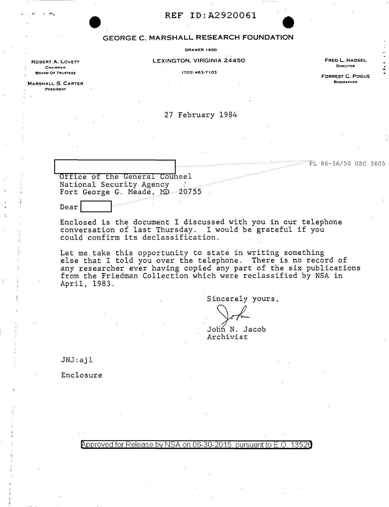## **REF** ID:A2920061



## **GEORGE C. MARSHALL RESEARCH FOUNDATION**

ORAWER 1600

## LEXINGTON, VIRGINIA 24450

(703) 463-7103

FREO L. HAOSEL **Ct RECTOR** 

-.;,

FORREST C. POGUE **BIOGRAPH CR** 

ROBERT A. LOVETT **CHAIRMAN BOARD OF TRUSTEES** 

MARSHALL 5. CARTER **PRESIOENT** 

27 February 1984

fL 86-36/50 USC 3605

Office of the General Counsel National Security Agency Fort George G. Meade, MD 20755

Dear

Enclosed is the document I discussed with you in our telephone conversation of last Thursday. I would be grateful if you could confirm its declassification.

Let me.take this opportunity to state in writing something else that I told you over the telephone. There is no record of any researcher ever having copied any part of the six publications from the Friedman Collection which were reclassified by NSA in April, 1983.

Sincerely yours,

Johń N. Jacob<br>Archivist

JNJ: aj l

Enclosure

Approved for Release by NSA on 06-30-2015 pursuant to E.O. 1352a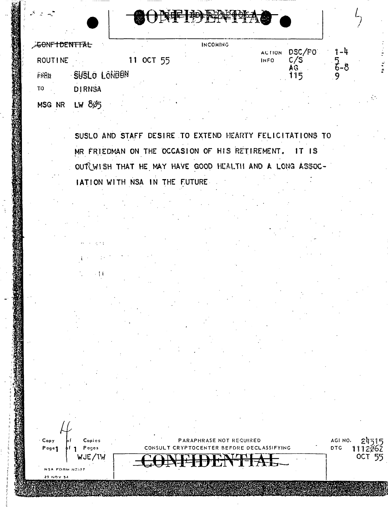

| $\sim$ $\sim$       |               |    |        |                 |  |                              |        |         |
|---------------------|---------------|----|--------|-----------------|--|------------------------------|--------|---------|
| <b>CONFTDENTTAL</b> |               |    |        | <b>INCOMING</b> |  |                              | DSC/FO |         |
| <b>ROUTINE</b>      |               | 11 | OCT 55 |                 |  | <b>ACTION</b><br><b>INFO</b> | C/S    |         |
| <b>FRAM</b>         | SUSLO LONDON  |    |        |                 |  |                              | Ali    | $6 - 8$ |
| TO                  | <b>DIRNSA</b> |    |        |                 |  |                              |        |         |
| MSG NR              | LW 825        |    |        |                 |  |                              |        |         |
|                     |               |    |        |                 |  |                              |        |         |

SUSLO AND STAFF DESIRE TO EXTEND HEARTY FELICITATIONS TO MR FRIEDMAN ON THE OCCASION OF HIS RETIREMENT. **IT IS** OUTCWISH THAT HE MAY HAVE GOOD HEALTH AND A LONG ASSOC-IATION WITH NSA IN THE FUTURE

PARAPHRASE NOT REQUIRED

RYPTOCENTER BEFORE DECLASSIFYING

Copy

Page1

NSA FORM N2552 29 NOV 57

Copies

Pages

WJE/TW

CONS

AGI NO.

**DTG** 

243 515<br>262

1112 **OCT 55**